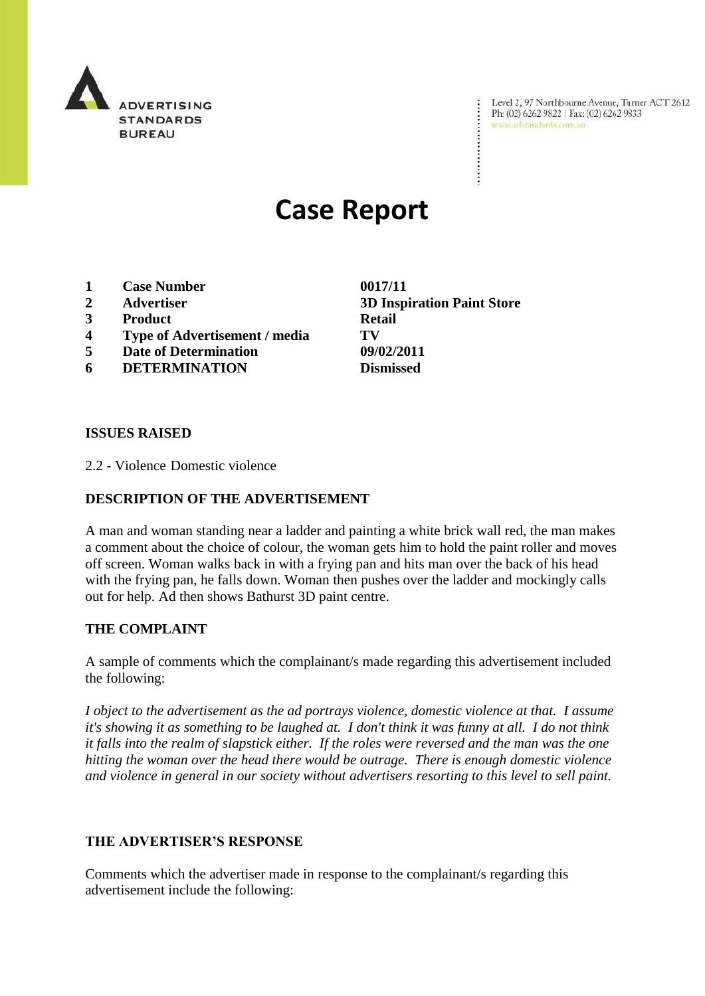

Level 2, 97 Northbourne Avenue, Turner ACT 2612 Ph: (02) 6262 9822 | Fax: (02) 6262 9833 www.adstandards.com.au

# **Case Report**

- **1 Case Number 0017/11**
- 
- **3 Product Retail**
- **4 Type of Advertisement / media TV**
- **5 Date of Determination 09/02/2011**
- **6 DETERMINATION Dismissed**

**ISSUES RAISED**

2.2 - Violence Domestic violence

### **DESCRIPTION OF THE ADVERTISEMENT**

A man and woman standing near a ladder and painting a white brick wall red, the man makes a comment about the choice of colour, the woman gets him to hold the paint roller and moves off screen. Woman walks back in with a frying pan and hits man over the back of his head with the frying pan, he falls down. Woman then pushes over the ladder and mockingly calls out for help. Ad then shows Bathurst 3D paint centre.

#### **THE COMPLAINT**

A sample of comments which the complainant/s made regarding this advertisement included the following:

*I object to the advertisement as the ad portrays violence, domestic violence at that. I assume it's showing it as something to be laughed at. I don't think it was funny at all. I do not think it falls into the realm of slapstick either. If the roles were reversed and the man was the one hitting the woman over the head there would be outrage. There is enough domestic violence and violence in general in our society without advertisers resorting to this level to sell paint.*

#### **THE ADVERTISER'S RESPONSE**

Comments which the advertiser made in response to the complainant/s regarding this advertisement include the following:

**2 Advertiser 3D Inspiration Paint Store**